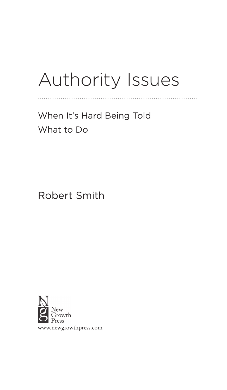# Authority Issues

. . . . . . . . . . . . . . . . . . . .

When It's Hard Being Told What to Do

Robert Smith

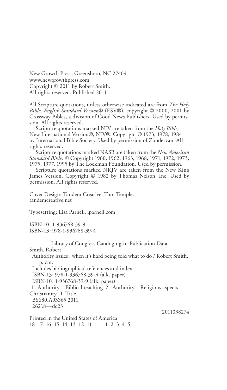New Growth Press, Greensboro, NC 27404 www.newgrowthpress.com Copyright © 2011 by Robert Smith. All rights reserved. Published 2011

All Scripture quotations, unless otherwise indicated are from *The Holy Bible, English Standard Version*® (ESV®), copyright © 2000, 2001 by Crossway Bibles, a division of Good News Publishers. Used by permission. All rights reserved.

Scripture quotations marked NIV are taken from the *Holy Bible,* New International Version®, NIV®. Copyright © 1973, 1978, 1984 by International Bible Society. Used by permission of Zondervan. All rights reserved.

Scripture quotations marked NASB are taken from the *New American Standard Bible, ©* Copyright 1960, 1962, 1963, 1968, 1971, 1972, 1973, 1975, 1977, 1995 by The Lockman Foundation. Used by permission.

Scripture quotations marked NKJV are taken from the New King James Version. Copyright © 1982 by Thomas Nelson, Inc. Used by permission. All rights reserved.

Cover Design: Tandem Creative, Tom Temple, tandemcreative.net

Typesetting: Lisa Parnell, lparnell.com

ISBN-10: 1-936768-39-9 ISBN-13: 978-1-936768-39-4

Library of Congress Cataloging-in-Publication Data

Smith, Robert

Authority issues : when it's hard being told what to do / Robert Smith. p. cm.

Includes bibliographical references and index.

ISBN-13: 978-1-936768-39-4 (alk. paper)

ISBN-10: 1-936768-39-9 (alk. paper)

1. Authority—Biblical teaching. 2. Authority—Religious aspects— Christianity. I. Title. BS680.A93S65 2011 262'.8—dc23

2011038274

Printed in the United States of America 18 17 16 15 14 13 12 11 1 2 3 4 5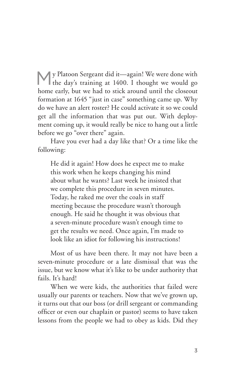My Platoon Sergeant did it—again! We were done with the day's training at 1400. I thought we would go home early, but we had to stick around until the closeout formation at 1645 "just in case" something came up. Why do we have an alert roster? He could activate it so we could get all the information that was put out. With deployment coming up, it would really be nice to hang out a little before we go "over there" again.

Have you ever had a day like that? Or a time like the following:

He did it again! How does he expect me to make this work when he keeps changing his mind about what he wants? Last week he insisted that we complete this procedure in seven minutes. Today, he raked me over the coals in staff meeting because the procedure wasn't thorough enough. He said he thought it was obvious that a seven-minute procedure wasn't enough time to get the results we need. Once again, I'm made to look like an idiot for following his instructions!

Most of us have been there. It may not have been a seven-minute procedure or a late dismissal that was the issue, but we know what it's like to be under authority that fails. It's hard!

When we were kids, the authorities that failed were usually our parents or teachers. Now that we've grown up, it turns out that our boss (or drill sergeant or commanding officer or even our chaplain or pastor) seems to have taken lessons from the people we had to obey as kids. Did they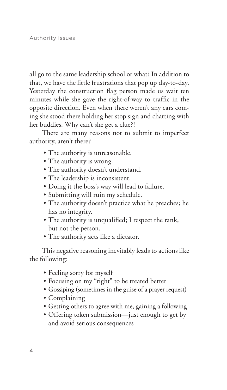all go to the same leadership school or what? In addition to that, we have the little frustrations that pop up day-to-day. Yesterday the construction flag person made us wait ten minutes while she gave the right-of-way to traffic in the opposite direction. Even when there weren't any cars coming she stood there holding her stop sign and chatting with her buddies. Why can't she get a clue?!

There are many reasons not to submit to imperfect authority, aren't there?

- The authority is unreasonable.
- The authority is wrong.
- The authority doesn't understand.
- The leadership is inconsistent.
- Doing it the boss's way will lead to failure.
- s Submitting will ruin my schedule.
- The authority doesn't practice what he preaches; he has no integrity.
- The authority is unqualified; I respect the rank, but not the person.
- The authority acts like a dictator.

This negative reasoning inevitably leads to actions like the following:

- Feeling sorry for myself
- s Focusing on my "right" to be treated better
- Gossiping (sometimes in the guise of a prayer request)
- Complaining
- s Getting others to agree with me, gaining a following
- Offering token submission—just enough to get by and avoid serious consequences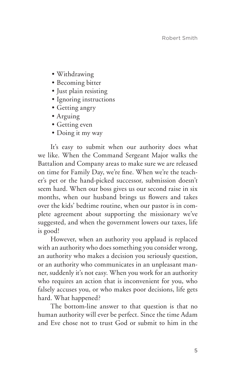- Withdrawing
- Becoming bitter
- · Just plain resisting
- Ignoring instructions
- Getting angry
- Arguing
- Getting even
- Doing it my way

It's easy to submit when our authority does what we like. When the Command Sergeant Major walks the Battalion and Company areas to make sure we are released on time for Family Day, we're fine. When we're the teacher's pet or the hand-picked successor, submission doesn't seem hard. When our boss gives us our second raise in six months, when our husband brings us flowers and takes over the kids' bedtime routine, when our pastor is in complete agreement about supporting the missionary we've suggested, and when the government lowers our taxes, life is good!

However, when an authority you applaud is replaced with an authority who does something you consider wrong, an authority who makes a decision you seriously question, or an authority who communicates in an unpleasant manner, suddenly it's not easy. When you work for an authority who requires an action that is inconvenient for you, who falsely accuses you, or who makes poor decisions, life gets hard. What happened?

The bottom-line answer to that question is that no human authority will ever be perfect. Since the time Adam and Eve chose not to trust God or submit to him in the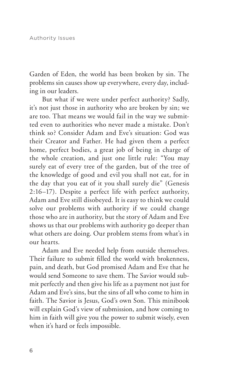Garden of Eden, the world has been broken by sin. The problems sin causes show up everywhere, every day, including in our leaders.

But what if we were under perfect authority? Sadly, it's not just those in authority who are broken by sin; we are too. That means we would fail in the way we submitted even to authorities who never made a mistake. Don't think so? Consider Adam and Eve's situation: God was their Creator and Father. He had given them a perfect home, perfect bodies, a great job of being in charge of the whole creation, and just one little rule: "You may surely eat of every tree of the garden, but of the tree of the knowledge of good and evil you shall not eat, for in the day that you eat of it you shall surely die" (Genesis 2:16–17). Despite a perfect life with perfect authority, Adam and Eve still disobeyed. It is easy to think we could solve our problems with authority if we could change those who are in authority, but the story of Adam and Eve shows us that our problems with authority go deeper than what others are doing. Our problem stems from what's in our hearts.

Adam and Eve needed help from outside themselves. Their failure to submit filled the world with brokenness, pain, and death, but God promised Adam and Eve that he would send Someone to save them. The Savior would submit perfectly and then give his life as a payment not just for Adam and Eve's sins, but the sins of all who come to him in faith. The Savior is Jesus, God's own Son. This minibook will explain God's view of submission, and how coming to him in faith will give you the power to submit wisely, even when it's hard or feels impossible.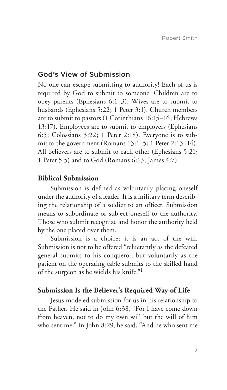#### God's View of Submission

No one can escape submitting to authority! Each of us is required by God to submit to someone. Children are to obey parents (Ephesians 6:1–3). Wives are to submit to husbands (Ephesians 5:22; 1 Peter 3:1). Church members are to submit to pastors (1 Corinthians 16:15–16; Hebrews 13:17). Employees are to submit to employers (Ephesians 6:5; Colossians 3:22; 1 Peter 2:18). Everyone is to submit to the government (Romans 13:1–5; 1 Peter 2:13–14). All believers are to submit to each other (Ephesians 5:21; 1 Peter 5:5) and to God (Romans 6:13; James 4:7).

#### **Biblical Submission**

Submission is defined as voluntarily placing oneself under the authority of a leader. It is a military term describing the relationship of a soldier to an officer. Submission means to subordinate or subject oneself to the authority. Those who submit recognize and honor the authority held by the one placed over them.

Submission is a choice; it is an act of the will. Submission is not to be offered "reluctantly as the defeated general submits to his conqueror, but voluntarily as the patient on the operating table submits to the skilled hand of the surgeon as he wields his knife."1

#### **Submission Is the Believer's Required Way of Life**

Jesus modeled submission for us in his relationship to the Father. He said in John 6:38, "For I have come down from heaven, not to do my own will but the will of him who sent me." In John 8:29, he said, "And he who sent me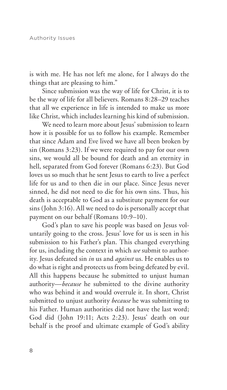is with me. He has not left me alone, for I always do the things that are pleasing to him."

Since submission was the way of life for Christ, it is to be the way of life for all believers. Romans 8:28–29 teaches that all we experience in life is intended to make us more like Christ, which includes learning his kind of submission.

We need to learn more about Jesus' submission to learn how it is possible for us to follow his example. Remember that since Adam and Eve lived we have all been broken by sin (Romans 3:23). If we were required to pay for our own sins, we would all be bound for death and an eternity in hell, separated from God forever (Romans 6:23). But God loves us so much that he sent Jesus to earth to live a perfect life for us and to then die in our place. Since Jesus never sinned, he did not need to die for his own sins. Thus, his death is acceptable to God as a substitute payment for our sins (John 3:16). All we need to do is personally accept that payment on our behalf (Romans 10:9–10).

God's plan to save his people was based on Jesus voluntarily going to the cross. Jesus' love for us is seen in his submission to his Father's plan. This changed everything for us, including the context in which *we* submit to authority. Jesus defeated sin *in* us and *against* us. He enables us to do what is right and protects us from being defeated by evil. All this happens because he submitted to unjust human authority—*because* he submitted to the divine authority who was behind it and would overrule it. In short, Christ submitted to unjust authority *because* he was submitting to his Father. Human authorities did not have the last word; God did (John 19:11; Acts 2:23). Jesus' death on our behalf is the proof and ultimate example of God's ability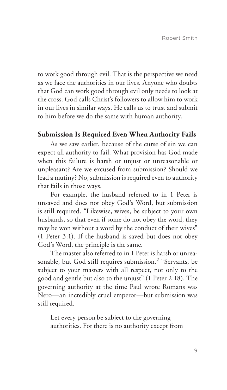to work good through evil. That is the perspective we need as we face the authorities in our lives. Anyone who doubts that God can work good through evil only needs to look at the cross. God calls Christ's followers to allow him to work in our lives in similar ways. He calls us to trust and submit to him before we do the same with human authority.

### **Submission Is Required Even When Authority Fails**

As we saw earlier, because of the curse of sin we can expect all authority to fail. What provision has God made when this failure is harsh or unjust or unreasonable or unpleasant? Are we excused from submission? Should we lead a mutiny? No, submission is required even to authority that fails in those ways.

For example, the husband referred to in 1 Peter is unsaved and does not obey God's Word, but submission is still required. "Likewise, wives, be subject to your own husbands, so that even if some do not obey the word, they may be won without a word by the conduct of their wives" (1 Peter 3:1). If the husband is saved but does not obey God's Word, the principle is the same.

The master also referred to in 1 Peter is harsh or unreasonable, but God still requires submission.<sup>2</sup> "Servants, be subject to your masters with all respect, not only to the good and gentle but also to the unjust" (1 Peter 2:18). The governing authority at the time Paul wrote Romans was Nero—an incredibly cruel emperor—but submission was still required.

Let every person be subject to the governing authorities. For there is no authority except from